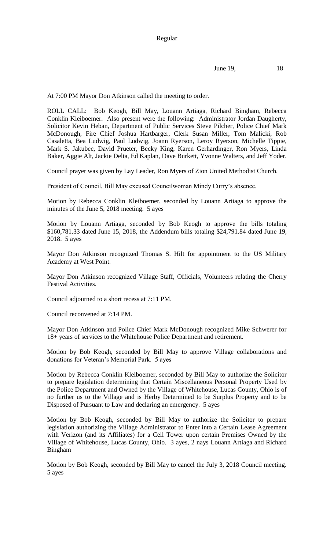June 19, 18

At 7:00 PM Mayor Don Atkinson called the meeting to order.

ROLL CALL: Bob Keogh, Bill May, Louann Artiaga, Richard Bingham, Rebecca Conklin Kleiboemer. Also present were the following: Administrator Jordan Daugherty, Solicitor Kevin Heban, Department of Public Services Steve Pilcher, Police Chief Mark McDonough, Fire Chief Joshua Hartbarger, Clerk Susan Miller, Tom Malicki, Rob Casaletta, Bea Ludwig, Paul Ludwig, Joann Ryerson, Leroy Ryerson, Michelle Tippie, Mark S. Jakubec, David Prueter, Becky King, Karen Gerhardinger, Ron Myers, Linda Baker, Aggie Alt, Jackie Delta, Ed Kaplan, Dave Burkett, Yvonne Walters, and Jeff Yoder.

Council prayer was given by Lay Leader, Ron Myers of Zion United Methodist Church.

President of Council, Bill May excused Councilwoman Mindy Curry's absence.

Motion by Rebecca Conklin Kleiboemer, seconded by Louann Artiaga to approve the minutes of the June 5, 2018 meeting. 5 ayes

Motion by Louann Artiaga, seconded by Bob Keogh to approve the bills totaling \$160,781.33 dated June 15, 2018, the Addendum bills totaling \$24,791.84 dated June 19, 2018. 5 ayes

Mayor Don Atkinson recognized Thomas S. Hilt for appointment to the US Military Academy at West Point.

Mayor Don Atkinson recognized Village Staff, Officials, Volunteers relating the Cherry Festival Activities.

Council adjourned to a short recess at 7:11 PM.

Council reconvened at 7:14 PM.

Mayor Don Atkinson and Police Chief Mark McDonough recognized Mike Schwerer for 18+ years of services to the Whitehouse Police Department and retirement.

Motion by Bob Keogh, seconded by Bill May to approve Village collaborations and donations for Veteran's Memorial Park. 5 ayes

Motion by Rebecca Conklin Kleiboemer, seconded by Bill May to authorize the Solicitor to prepare legislation determining that Certain Miscellaneous Personal Property Used by the Police Department and Owned by the Village of Whitehouse, Lucas County, Ohio is of no further us to the Village and is Herby Determined to be Surplus Property and to be Disposed of Pursuant to Law and declaring an emergency. 5 ayes

Motion by Bob Keogh, seconded by Bill May to authorize the Solicitor to prepare legislation authorizing the Village Administrator to Enter into a Certain Lease Agreement with Verizon (and its Affiliates) for a Cell Tower upon certain Premises Owned by the Village of Whitehouse, Lucas County, Ohio. 3 ayes, 2 nays Louann Artiaga and Richard Bingham

Motion by Bob Keogh, seconded by Bill May to cancel the July 3, 2018 Council meeting. 5 ayes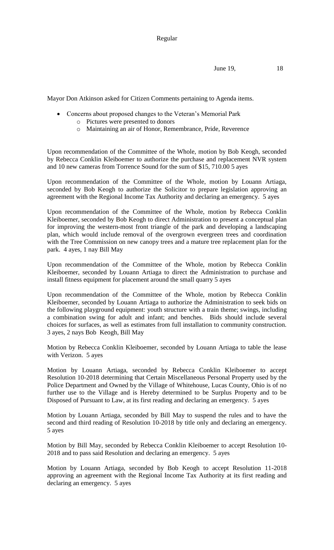June 19, 18

Mayor Don Atkinson asked for Citizen Comments pertaining to Agenda items.

- Concerns about proposed changes to the Veteran's Memorial Park
	- o Pictures were presented to donors
	- o Maintaining an air of Honor, Remembrance, Pride, Reverence

Upon recommendation of the Committee of the Whole, motion by Bob Keogh, seconded by Rebecca Conklin Kleiboemer to authorize the purchase and replacement NVR system and 10 new cameras from Torrence Sound for the sum of \$15, 710.00 5 ayes

Upon recommendation of the Committee of the Whole, motion by Louann Artiaga, seconded by Bob Keogh to authorize the Solicitor to prepare legislation approving an agreement with the Regional Income Tax Authority and declaring an emergency. 5 ayes

Upon recommendation of the Committee of the Whole, motion by Rebecca Conklin Kleiboemer, seconded by Bob Keogh to direct Administration to present a conceptual plan for improving the western-most front triangle of the park and developing a landscaping plan, which would include removal of the overgrown evergreen trees and coordination with the Tree Commission on new canopy trees and a mature tree replacement plan for the park. 4 ayes, 1 nay Bill May

Upon recommendation of the Committee of the Whole, motion by Rebecca Conklin Kleiboemer, seconded by Louann Artiaga to direct the Administration to purchase and install fitness equipment for placement around the small quarry 5 ayes

Upon recommendation of the Committee of the Whole, motion by Rebecca Conklin Kleiboemer, seconded by Louann Artiaga to authorize the Administration to seek bids on the following playground equipment: youth structure with a train theme; swings, including a combination swing for adult and infant; and benches. Bids should include several choices for surfaces, as well as estimates from full installation to community construction. 3 ayes, 2 nays Bob Keogh, Bill May

Motion by Rebecca Conklin Kleiboemer, seconded by Louann Artiaga to table the lease with Verizon. 5 ayes

Motion by Louann Artiaga, seconded by Rebecca Conklin Kleiboemer to accept Resolution 10-2018 determining that Certain Miscellaneous Personal Property used by the Police Department and Owned by the Village of Whitehouse, Lucas County, Ohio is of no further use to the Village and is Hereby determined to be Surplus Property and to be Disposed of Pursuant to Law, at its first reading and declaring an emergency. 5 ayes

Motion by Louann Artiaga, seconded by Bill May to suspend the rules and to have the second and third reading of Resolution 10-2018 by title only and declaring an emergency. 5 ayes

Motion by Bill May, seconded by Rebecca Conklin Kleiboemer to accept Resolution 10- 2018 and to pass said Resolution and declaring an emergency. 5 ayes

Motion by Louann Artiaga, seconded by Bob Keogh to accept Resolution 11-2018 approving an agreement with the Regional Income Tax Authority at its first reading and declaring an emergency. 5 ayes